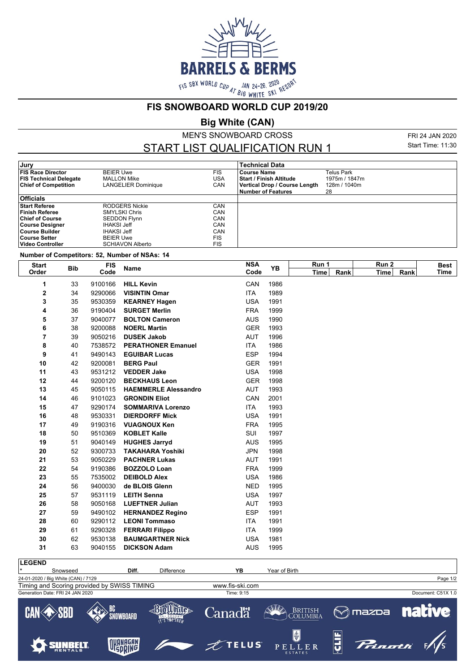

**FIS SNOWBOARD WORLD CUP 2019/20**

**Big White (CAN)**

MEN'S SNOWBOARD CROSS

START LIST QUALIFICATION RUN 1

FRI 24 JAN 2020 Start Time: 11:30

| Jury                          |                            |            | <b>Technical Data</b>         |               |
|-------------------------------|----------------------------|------------|-------------------------------|---------------|
| <b>FIS Race Director</b>      | <b>BEIER Uwe</b>           | <b>FIS</b> | <b>Course Name</b>            | Telus Park    |
| <b>FIS Technical Delegate</b> | <b>MALLON Mike</b>         | <b>USA</b> | l Start / Finish Altitude     | 1975m / 1847m |
| <b>Chief of Competition</b>   | <b>LANGELIER Dominique</b> | CAN        | Vertical Drop / Course Length | 128m / 1040m  |
|                               |                            |            | Number of Features            | 28            |
| <b>Officials</b>              |                            |            |                               |               |
| <b>Start Referee</b>          | RODGERS Nickie             | CAN        |                               |               |
| <b>Finish Referee</b>         | <b>SMYLSKI Chris</b>       | CAN        |                               |               |
| <b>Chief of Course</b>        | <b>SEDDON Flynn</b>        | CAN        |                               |               |
| <b>Course Designer</b>        | <b>IHAKSI Jeff</b>         | CAN        |                               |               |
| <b>Course Builder</b>         | <b>IHAKSI Jeff</b>         | CAN        |                               |               |
| <b>Course Setter</b>          | <b>BEIER Uwe</b>           | <b>FIS</b> |                               |               |
| <b>Video Controller</b>       | <b>SCHIAVON Alberto</b>    | <b>FIS</b> |                               |               |

**Number of Competitors: 52, Number of NSAs: 14**

| <b>Start</b> | <b>Bib</b> | <b>FIS</b> | <b>Name</b>                 | <b>NSA</b> | YB   | Run 1       |      | Run 2 |      | <b>Best</b> |
|--------------|------------|------------|-----------------------------|------------|------|-------------|------|-------|------|-------------|
| Order        |            | Code       |                             | Code       |      | <b>Time</b> | Rank | Time  | Rank | Time        |
| 1            | 33         | 9100166    | <b>HILL Kevin</b>           | CAN        | 1986 |             |      |       |      |             |
| 2            | 34         | 9290066    | <b>VISINTIN Omar</b>        | <b>ITA</b> | 1989 |             |      |       |      |             |
| 3            | 35         | 9530359    | <b>KEARNEY Hagen</b>        | <b>USA</b> | 1991 |             |      |       |      |             |
| 4            | 36         | 9190404    | <b>SURGET Merlin</b>        | <b>FRA</b> | 1999 |             |      |       |      |             |
| 5            | 37         | 9040077    | <b>BOLTON Cameron</b>       | <b>AUS</b> | 1990 |             |      |       |      |             |
| 6            | 38         | 9200088    | <b>NOERL Martin</b>         | <b>GER</b> | 1993 |             |      |       |      |             |
| 7            | 39         | 9050216    | <b>DUSEK Jakob</b>          | <b>AUT</b> | 1996 |             |      |       |      |             |
| 8            | 40         | 7538572    | <b>PERATHONER Emanuel</b>   | <b>ITA</b> | 1986 |             |      |       |      |             |
| 9            | 41         | 9490143    | <b>EGUIBAR Lucas</b>        | <b>ESP</b> | 1994 |             |      |       |      |             |
| 10           | 42         | 9200081    | <b>BERG Paul</b>            | <b>GER</b> | 1991 |             |      |       |      |             |
| 11           | 43         | 9531212    | <b>VEDDER Jake</b>          | <b>USA</b> | 1998 |             |      |       |      |             |
| 12           | 44         | 9200120    | <b>BECKHAUS Leon</b>        | <b>GER</b> | 1998 |             |      |       |      |             |
| 13           | 45         | 9050115    | <b>HAEMMERLE Alessandro</b> | <b>AUT</b> | 1993 |             |      |       |      |             |
| 14           | 46         | 9101023    | <b>GRONDIN Eliot</b>        | CAN        | 2001 |             |      |       |      |             |
| 15           | 47         | 9290174    | <b>SOMMARIVA Lorenzo</b>    | <b>ITA</b> | 1993 |             |      |       |      |             |
| 16           | 48         | 9530331    | <b>DIERDORFF Mick</b>       | <b>USA</b> | 1991 |             |      |       |      |             |
| 17           | 49         | 9190316    | <b>VUAGNOUX Ken</b>         | <b>FRA</b> | 1995 |             |      |       |      |             |
| 18           | 50         | 9510369    | <b>KOBLET Kalle</b>         | SUI        | 1997 |             |      |       |      |             |
| 19           | 51         | 9040149    | <b>HUGHES Jarryd</b>        | <b>AUS</b> | 1995 |             |      |       |      |             |
| 20           | 52         | 9300733    | <b>TAKAHARA Yoshiki</b>     | <b>JPN</b> | 1998 |             |      |       |      |             |
| 21           | 53         | 9050229    | <b>PACHNER Lukas</b>        | <b>AUT</b> | 1991 |             |      |       |      |             |
| 22           | 54         | 9190386    | <b>BOZZOLO Loan</b>         | <b>FRA</b> | 1999 |             |      |       |      |             |
| 23           | 55         | 7535002    | <b>DEIBOLD Alex</b>         | <b>USA</b> | 1986 |             |      |       |      |             |
| 24           | 56         | 9400030    | de BLOIS Glenn              | <b>NED</b> | 1995 |             |      |       |      |             |
| 25           | 57         | 9531119    | <b>LEITH Senna</b>          | <b>USA</b> | 1997 |             |      |       |      |             |
| 26           | 58         | 9050168    | <b>LUEFTNER Julian</b>      | <b>AUT</b> | 1993 |             |      |       |      |             |
| 27           | 59         | 9490102    | <b>HERNANDEZ Regino</b>     | <b>ESP</b> | 1991 |             |      |       |      |             |
| 28           | 60         | 9290112    | <b>LEONI Tommaso</b>        | <b>ITA</b> | 1991 |             |      |       |      |             |
| 29           | 61         | 9290328    | <b>FERRARI Filippo</b>      | <b>ITA</b> | 1999 |             |      |       |      |             |
| 30           | 62         | 9530138    | <b>BAUMGARTNER Nick</b>     | <b>USA</b> | 1981 |             |      |       |      |             |
| 31           | 63         | 9040155    | <b>DICKSON Adam</b>         | <b>AUS</b> | 1995 |             |      |       |      |             |
|              |            |            |                             |            |      |             |      |       |      |             |